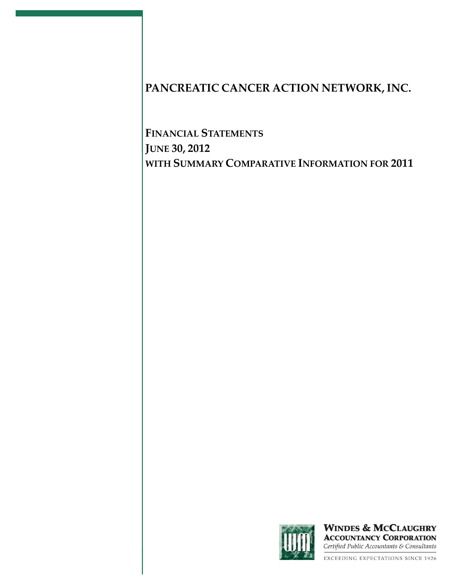**FINANCIAL STATEMENTS JUNE 30, 2012 WITH SUMMARY COMPARATIVE INFORMATION FOR 2011**



**WINDES & MCCLAUGHRY ACCOUNTANCY CORPORATION** Certified Public Accountants & Consultants

**EXCEEDING EXPECTATIONS SINCE 1926**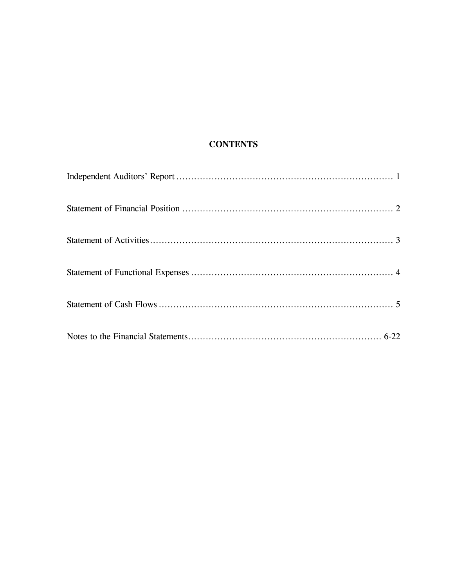# **CONTENTS**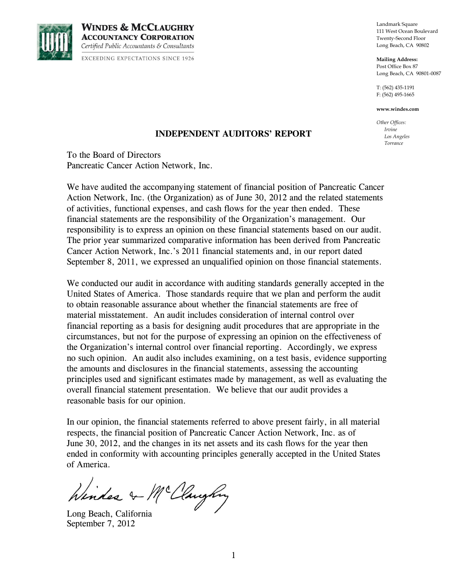

**WINDES & MCCLAUGHRY ACCOUNTANCY CORPORATION** Certified Public Accountants & Consultants **EXCEEDING EXPECTATIONS SINCE 1926**  Landmark Square 111 West Ocean Boulevard Twenty-Second Floor Long Beach, CA 90802

**Mailing Address:** Post Office Box 87 Long Beach, CA 90801-0087

T: (562) 435-1191 F: (562) 495-1665

**www.windes.com**

*Other Offices: Irvine Los Angeles Torrance*

### **INDEPENDENT AUDITORS' REPORT**

To the Board of Directors Pancreatic Cancer Action Network, Inc.

We have audited the accompanying statement of financial position of Pancreatic Cancer Action Network, Inc. (the Organization) as of June 30, 2012 and the related statements of activities, functional expenses, and cash flows for the year then ended. These financial statements are the responsibility of the Organization's management. Our responsibility is to express an opinion on these financial statements based on our audit. The prior year summarized comparative information has been derived from Pancreatic Cancer Action Network, Inc.'s 2011 financial statements and, in our report dated September 8, 2011, we expressed an unqualified opinion on those financial statements.

We conducted our audit in accordance with auditing standards generally accepted in the United States of America. Those standards require that we plan and perform the audit to obtain reasonable assurance about whether the financial statements are free of material misstatement. An audit includes consideration of internal control over financial reporting as a basis for designing audit procedures that are appropriate in the circumstances, but not for the purpose of expressing an opinion on the effectiveness of the Organization's internal control over financial reporting. Accordingly, we express no such opinion. An audit also includes examining, on a test basis, evidence supporting the amounts and disclosures in the financial statements, assessing the accounting principles used and significant estimates made by management, as well as evaluating the overall financial statement presentation. We believe that our audit provides a reasonable basis for our opinion.

In our opinion, the financial statements referred to above present fairly, in all material respects, the financial position of Pancreatic Cancer Action Network, Inc. as of June 30, 2012, and the changes in its net assets and its cash flows for the year then ended in conformity with accounting principles generally accepted in the United States of America.

Windes & Mc Claughy

September 7, 2012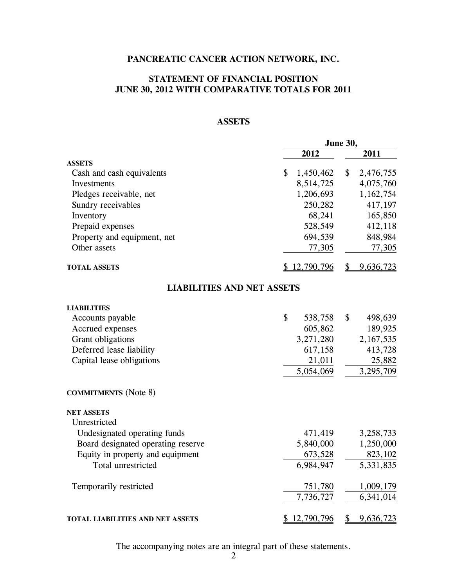### **STATEMENT OF FINANCIAL POSITION JUNE 30, 2012 WITH COMPARATIVE TOTALS FOR 2011**

### **ASSETS**

|                                    | June 30,        |                 |  |
|------------------------------------|-----------------|-----------------|--|
|                                    | 2012            | 2011            |  |
| <b>ASSETS</b>                      |                 |                 |  |
| Cash and cash equivalents          | \$<br>1,450,462 | \$<br>2,476,755 |  |
| Investments                        | 8,514,725       | 4,075,760       |  |
| Pledges receivable, net            | 1,206,693       | 1,162,754       |  |
| Sundry receivables                 | 250,282         | 417,197         |  |
| Inventory                          | 68,241          | 165,850         |  |
| Prepaid expenses                   | 528,549         | 412,118         |  |
| Property and equipment, net        | 694,539         | 848,984         |  |
| Other assets                       | 77,305          | 77,305          |  |
| <b>TOTAL ASSETS</b>                | \$12,790,796    | 9,636,723<br>\$ |  |
| <b>LIABILITIES AND NET ASSETS</b>  |                 |                 |  |
| <b>LIABILITIES</b>                 |                 |                 |  |
| Accounts payable                   | \$<br>538,758   | \$<br>498,639   |  |
| Accrued expenses                   | 605,862         | 189,925         |  |
| Grant obligations                  | 3,271,280       | 2,167,535       |  |
| Deferred lease liability           | 617,158         | 413,728         |  |
| Capital lease obligations          | 21,011          | 25,882          |  |
|                                    | 5,054,069       | 3,295,709       |  |
| <b>COMMITMENTS</b> (Note 8)        |                 |                 |  |
| <b>NET ASSETS</b>                  |                 |                 |  |
| Unrestricted                       |                 |                 |  |
| Undesignated operating funds       | 471,419         | 3,258,733       |  |
| Board designated operating reserve | 5,840,000       | 1,250,000       |  |
| Equity in property and equipment   | 673,528         | 823,102         |  |
| Total unrestricted                 | 6,984,947       | 5,331,835       |  |
| Temporarily restricted             | 751,780         | 1,009,179       |  |
|                                    | 7,736,727       | 6,341,014       |  |
| TOTAL LIABILITIES AND NET ASSETS   | 12,790,796<br>S | 9,636,723<br>\$ |  |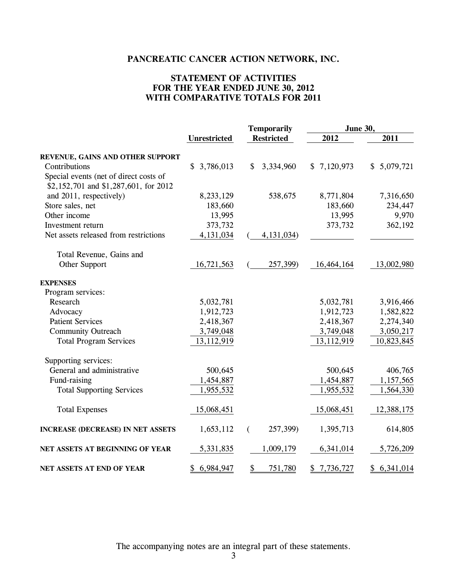### **STATEMENT OF ACTIVITIES FOR THE YEAR ENDED JUNE 30, 2012 WITH COMPARATIVE TOTALS FOR 2011**

|                                          |                     | <b>Temporarily</b>         | <b>June 30,</b> |             |  |
|------------------------------------------|---------------------|----------------------------|-----------------|-------------|--|
|                                          | <b>Unrestricted</b> | <b>Restricted</b>          | 2012            | 2011        |  |
| REVENUE, GAINS AND OTHER SUPPORT         |                     |                            |                 |             |  |
| Contributions                            | \$3,786,013         | $\mathcal{S}$<br>3,334,960 | \$7,120,973     | \$5,079,721 |  |
| Special events (net of direct costs of   |                     |                            |                 |             |  |
| \$2,152,701 and \$1,287,601, for 2012    |                     |                            |                 |             |  |
| and 2011, respectively)                  | 8,233,129           | 538,675                    | 8,771,804       | 7,316,650   |  |
| Store sales, net                         | 183,660             |                            | 183,660         | 234,447     |  |
| Other income                             | 13,995              |                            | 13,995          | 9,970       |  |
| Investment return                        | 373,732             |                            | 373,732         | 362,192     |  |
| Net assets released from restrictions    | 4,131,034           | 4, 131, 034)               |                 |             |  |
| Total Revenue, Gains and                 |                     |                            |                 |             |  |
| Other Support                            | 16,721,563          | 257,399)                   | 16,464,164      | 13,002,980  |  |
| <b>EXPENSES</b>                          |                     |                            |                 |             |  |
| Program services:                        |                     |                            |                 |             |  |
| Research                                 | 5,032,781           |                            | 5,032,781       | 3,916,466   |  |
| Advocacy                                 | 1,912,723           |                            | 1,912,723       | 1,582,822   |  |
| <b>Patient Services</b>                  | 2,418,367           |                            | 2,418,367       | 2,274,340   |  |
| <b>Community Outreach</b>                | 3,749,048           |                            | 3,749,048       | 3,050,217   |  |
| <b>Total Program Services</b>            | 13,112,919          |                            | 13,112,919      | 10,823,845  |  |
| Supporting services:                     |                     |                            |                 |             |  |
| General and administrative               | 500,645             |                            | 500,645         | 406,765     |  |
| Fund-raising                             | 1,454,887           |                            | 1,454,887       | 1,157,565   |  |
| <b>Total Supporting Services</b>         | 1,955,532           |                            | 1,955,532       | 1,564,330   |  |
| <b>Total Expenses</b>                    | 15,068,451          |                            | 15,068,451      | 12,388,175  |  |
| <b>INCREASE (DECREASE) IN NET ASSETS</b> | 1,653,112           | 257,399)<br>€              | 1,395,713       | 614,805     |  |
| NET ASSETS AT BEGINNING OF YEAR          | 5,331,835           | 1,009,179                  | 6,341,014       | 5,726,209   |  |
| NET ASSETS AT END OF YEAR                | 6,984,947<br>\$     | $\frac{1}{2}$<br>751,780   | 7,736,727<br>\$ | \$6,341,014 |  |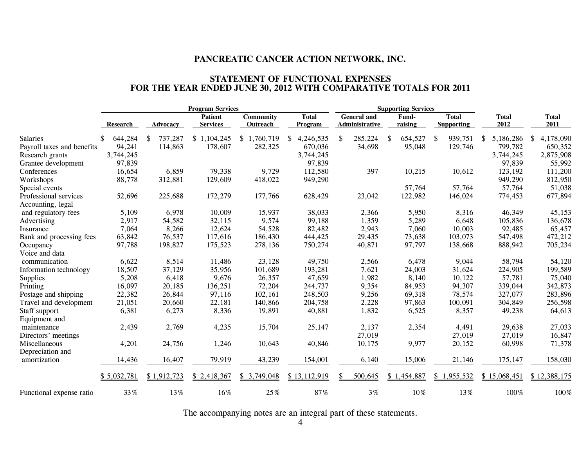#### **STATEMENT OF FUNCTIONAL EXPENSES FOR THE YEAR ENDED JUNE 30, 2012 WITH COMPARATIVE TOTALS FOR 2011**

|                            |                 |                 | <b>Program Services</b>           |                              |                         |                                      | <b>Supporting Services</b> |                                   |                      |                      |
|----------------------------|-----------------|-----------------|-----------------------------------|------------------------------|-------------------------|--------------------------------------|----------------------------|-----------------------------------|----------------------|----------------------|
|                            | <b>Research</b> | <b>Advocacy</b> | <b>Patient</b><br><b>Services</b> | <b>Community</b><br>Outreach | <b>Total</b><br>Program | <b>General</b> and<br>Administrative | Fund-<br>raising           | <b>Total</b><br><b>Supporting</b> | <b>Total</b><br>2012 | <b>Total</b><br>2011 |
| <b>Salaries</b>            | 644,284         | 737,287<br>\$   | \$1,104,245                       | \$1,760,719                  | 4,246,535<br>S.         | 285,224<br>S                         | 654,527<br><sup>\$</sup>   | 939,751<br>\$                     | 5,186,286<br>S.      | 4,178,090<br>S       |
| Payroll taxes and benefits | 94,241          | 114,863         | 178,607                           | 282,325                      | 670,036                 | 34,698                               | 95,048                     | 129,746                           | 799,782              | 650,352              |
| Research grants            | 3,744,245       |                 |                                   |                              | 3,744,245               |                                      |                            |                                   | 3,744,245            | 2,875,908            |
| Grantee development        | 97,839          |                 |                                   |                              | 97,839                  |                                      |                            |                                   | 97,839               | 55,992               |
| Conferences                | 16,654          | 6,859           | 79,338                            | 9,729                        | 112,580                 | 397                                  | 10,215                     | 10,612                            | 123,192              | 111,200              |
| Workshops                  | 88,778          | 312,881         | 129,609                           | 418,022                      | 949,290                 |                                      |                            |                                   | 949,290              | 812,950              |
| Special events             |                 |                 |                                   |                              |                         |                                      | 57,764                     | 57,764                            | 57,764               | 51,038               |
| Professional services      | 52,696          | 225,688         | 172,279                           | 177,766                      | 628,429                 | 23,042                               | 122,982                    | 146,024                           | 774,453              | 677,894              |
| Accounting, legal          |                 |                 |                                   |                              |                         |                                      |                            |                                   |                      |                      |
| and regulatory fees        | 5,109           | 6,978           | 10,009                            | 15,937                       | 38,033                  | 2,366                                | 5,950                      | 8,316                             | 46,349               | 45,153               |
| Advertising                | 2,917           | 54,582          | 32,115                            | 9,574                        | 99,188                  | 1,359                                | 5,289                      | 6,648                             | 105,836              | 136,678              |
| Insurance                  | 7,064           | 8,266           | 12,624                            | 54,528                       | 82,482                  | 2,943                                | 7,060                      | 10,003                            | 92,485               | 65,457               |
| Bank and processing fees   | 63,842          | 76,537          | 117,616                           | 186,430                      | 444,425                 | 29,435                               | 73,638                     | 103,073                           | 547,498              | 472,212              |
| Occupancy                  | 97,788          | 198,827         | 175,523                           | 278,136                      | 750,274                 | 40,871                               | 97,797                     | 138,668                           | 888,942              | 705,234              |
| Voice and data             |                 |                 |                                   |                              |                         |                                      |                            |                                   |                      |                      |
| communication              | 6,622           | 8,514           | 11,486                            | 23,128                       | 49,750                  | 2,566                                | 6,478                      | 9,044                             | 58,794               | 54,120               |
| Information technology     | 18,507          | 37,129          | 35,956                            | 101,689                      | 193,281                 | 7,621                                | 24,003                     | 31,624                            | 224,905              | 199,589              |
| <b>Supplies</b>            | 5,208           | 6,418           | 9,676                             | 26,357                       | 47,659                  | 1,982                                | 8,140                      | 10,122                            | 57,781               | 75,040               |
| Printing                   | 16,097          | 20,185          | 136,251                           | 72,204                       | 244,737                 | 9,354                                | 84,953                     | 94,307                            | 339,044              | 342,873              |
| Postage and shipping       | 22,382          | 26,844          | 97,116                            | 102,161                      | 248,503                 | 9,256                                | 69,318                     | 78,574                            | 327,077              | 283,896              |
| Travel and development     | 21,051          | 20,660          | 22,181                            | 140,866                      | 204,758                 | 2,228                                | 97,863                     | 100,091                           | 304,849              | 256,598              |
| Staff support              | 6,381           | 6,273           | 8,336                             | 19,891                       | 40,881                  | 1,832                                | 6,525                      | 8,357                             | 49,238               | 64,613               |
| Equipment and              |                 |                 |                                   |                              |                         |                                      |                            |                                   |                      |                      |
| maintenance                | 2,439           | 2,769           | 4,235                             | 15,704                       | 25,147                  | 2,137                                | 2,354                      | 4,491                             | 29,638               | 27,033               |
| Directors' meetings        |                 |                 |                                   |                              |                         | 27,019                               |                            | 27,019                            | 27,019               | 16,847               |
| Miscellaneous              | 4,201           | 24,756          | 1,246                             | 10,643                       | 40,846                  | 10,175                               | 9,977                      | 20,152                            | 60,998               | 71,378               |
| Depreciation and           |                 |                 |                                   |                              |                         |                                      |                            |                                   |                      |                      |
| amortization               | 14,436          | 16,407          | 79,919                            | 43,239                       | 154,001                 | 6,140                                | 15,006                     | 21,146                            | 175,147              | 158,030              |
|                            | \$5,032,781     | \$1,912,723     | \$2,418,367                       | \$3,749,048                  | \$13,112,919            | 500,645<br>\$.                       | \$1,454,887                | \$1,955,532                       | \$15,068,451         | \$12,388,175         |
| Functional expense ratio   | 33%             | 13%             | 16%                               | 25%                          | 87%                     | $3\%$                                | $10\%$                     | 13%                               | 100%                 | 100%                 |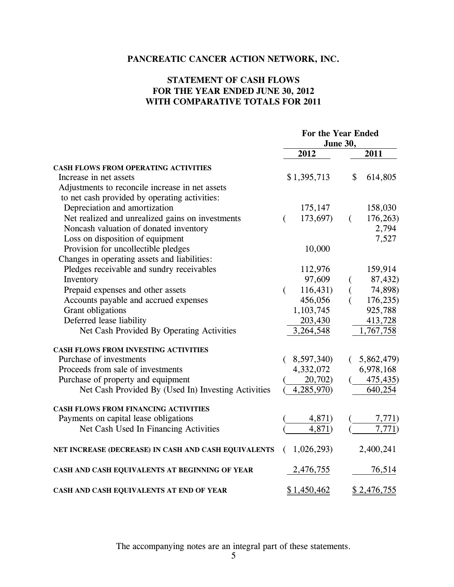### **STATEMENT OF CASH FLOWS FOR THE YEAR ENDED JUNE 30, 2012 WITH COMPARATIVE TOTALS FOR 2011**

|                                                      | For the Year Ended |                    |          |                    |
|------------------------------------------------------|--------------------|--------------------|----------|--------------------|
|                                                      | June 30,           |                    |          |                    |
|                                                      |                    | 2012               |          | 2011               |
| <b>CASH FLOWS FROM OPERATING ACTIVITIES</b>          |                    |                    |          |                    |
| Increase in net assets                               |                    | \$1,395,713        | \$       | 614,805            |
| Adjustments to reconcile increase in net assets      |                    |                    |          |                    |
| to net cash provided by operating activities:        |                    |                    |          |                    |
| Depreciation and amortization                        |                    | 175,147            |          | 158,030            |
| Net realized and unrealized gains on investments     | €                  | 173,697)           | $\left($ | 176,263)           |
| Noncash valuation of donated inventory               |                    |                    |          | 2,794              |
| Loss on disposition of equipment                     |                    |                    |          | 7,527              |
| Provision for uncollectible pledges                  |                    | 10,000             |          |                    |
| Changes in operating assets and liabilities:         |                    |                    |          |                    |
| Pledges receivable and sundry receivables            |                    | 112,976            |          | 159,914            |
| Inventory                                            |                    | 97,609             |          | 87,432)            |
| Prepaid expenses and other assets                    | $\left($           | 116,431            |          | 74,898)            |
| Accounts payable and accrued expenses                |                    | 456,056            | (        | 176,235)           |
| Grant obligations                                    |                    | 1,103,745          |          | 925,788            |
| Deferred lease liability                             |                    | 203,430            |          | 413,728            |
| Net Cash Provided By Operating Activities            |                    | 3,264,548          |          | 1,767,758          |
| <b>CASH FLOWS FROM INVESTING ACTIVITIES</b>          |                    |                    |          |                    |
| Purchase of investments                              |                    | 8,597,340)         |          | (5,862,479)        |
| Proceeds from sale of investments                    |                    | 4,332,072          |          | 6,978,168          |
| Purchase of property and equipment                   |                    | 20,702)            |          | 475,435)           |
| Net Cash Provided By (Used In) Investing Activities  |                    | 4,285,970)         |          | 640,254            |
| <b>CASH FLOWS FROM FINANCING ACTIVITIES</b>          |                    |                    |          |                    |
| Payments on capital lease obligations                |                    | 4,871)             |          | 7,771)             |
| Net Cash Used In Financing Activities                |                    | 4,871)             |          | 7,771)             |
| NET INCREASE (DECREASE) IN CASH AND CASH EQUIVALENTS | (                  | 1,026,293)         |          | 2,400,241          |
| CASH AND CASH EQUIVALENTS AT BEGINNING OF YEAR       |                    | 2,476,755          |          | 76,514             |
| CASH AND CASH EQUIVALENTS AT END OF YEAR             |                    | <u>\$1,450,462</u> |          | <u>\$2,476,755</u> |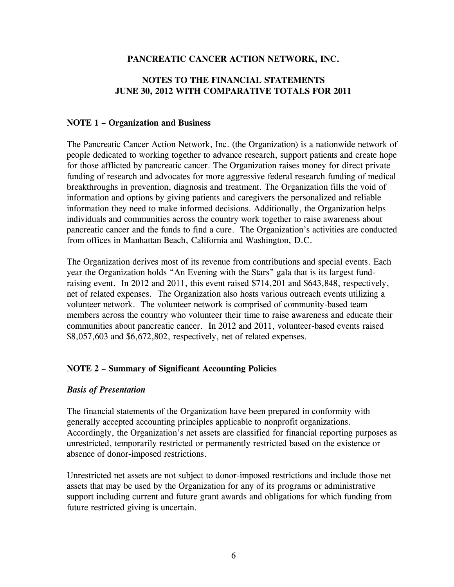### **NOTES TO THE FINANCIAL STATEMENTS JUNE 30, 2012 WITH COMPARATIVE TOTALS FOR 2011**

### **NOTE 1 – Organization and Business**

The Pancreatic Cancer Action Network, Inc. (the Organization) is a nationwide network of people dedicated to working together to advance research, support patients and create hope for those afflicted by pancreatic cancer. The Organization raises money for direct private funding of research and advocates for more aggressive federal research funding of medical breakthroughs in prevention, diagnosis and treatment. The Organization fills the void of information and options by giving patients and caregivers the personalized and reliable information they need to make informed decisions. Additionally, the Organization helps individuals and communities across the country work together to raise awareness about pancreatic cancer and the funds to find a cure. The Organization's activities are conducted from offices in Manhattan Beach, California and Washington, D.C.

The Organization derives most of its revenue from contributions and special events. Each year the Organization holds "An Evening with the Stars" gala that is its largest fundraising event. In 2012 and 2011, this event raised \$714,201 and \$643,848, respectively, net of related expenses. The Organization also hosts various outreach events utilizing a volunteer network. The volunteer network is comprised of community-based team members across the country who volunteer their time to raise awareness and educate their communities about pancreatic cancer. In 2012 and 2011, volunteer-based events raised \$8,057,603 and \$6,672,802, respectively, net of related expenses.

### **NOTE 2 – Summary of Significant Accounting Policies**

### *Basis of Presentation*

The financial statements of the Organization have been prepared in conformity with generally accepted accounting principles applicable to nonprofit organizations. Accordingly, the Organization's net assets are classified for financial reporting purposes as unrestricted, temporarily restricted or permanently restricted based on the existence or absence of donor-imposed restrictions.

Unrestricted net assets are not subject to donor-imposed restrictions and include those net assets that may be used by the Organization for any of its programs or administrative support including current and future grant awards and obligations for which funding from future restricted giving is uncertain.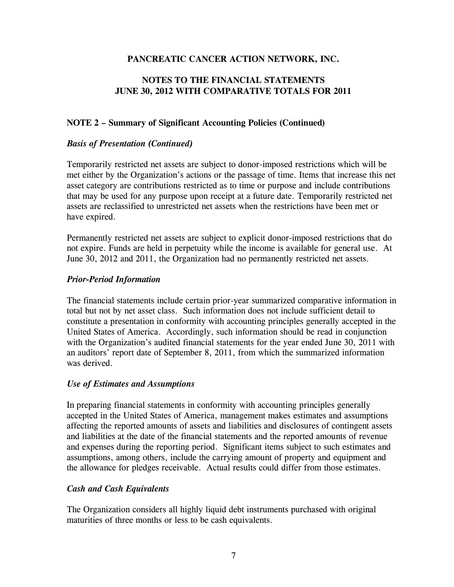### **NOTES TO THE FINANCIAL STATEMENTS JUNE 30, 2012 WITH COMPARATIVE TOTALS FOR 2011**

### **NOTE 2 – Summary of Significant Accounting Policies (Continued)**

### *Basis of Presentation (Continued)*

Temporarily restricted net assets are subject to donor-imposed restrictions which will be met either by the Organization's actions or the passage of time. Items that increase this net asset category are contributions restricted as to time or purpose and include contributions that may be used for any purpose upon receipt at a future date. Temporarily restricted net assets are reclassified to unrestricted net assets when the restrictions have been met or have expired.

Permanently restricted net assets are subject to explicit donor-imposed restrictions that do not expire. Funds are held in perpetuity while the income is available for general use. At June 30, 2012 and 2011, the Organization had no permanently restricted net assets.

### *Prior-Period Information*

The financial statements include certain prior-year summarized comparative information in total but not by net asset class. Such information does not include sufficient detail to constitute a presentation in conformity with accounting principles generally accepted in the United States of America. Accordingly, such information should be read in conjunction with the Organization's audited financial statements for the year ended June 30, 2011 with an auditors' report date of September 8, 2011, from which the summarized information was derived.

#### *Use of Estimates and Assumptions*

In preparing financial statements in conformity with accounting principles generally accepted in the United States of America, management makes estimates and assumptions affecting the reported amounts of assets and liabilities and disclosures of contingent assets and liabilities at the date of the financial statements and the reported amounts of revenue and expenses during the reporting period. Significant items subject to such estimates and assumptions, among others, include the carrying amount of property and equipment and the allowance for pledges receivable. Actual results could differ from those estimates.

### *Cash and Cash Equivalents*

The Organization considers all highly liquid debt instruments purchased with original maturities of three months or less to be cash equivalents.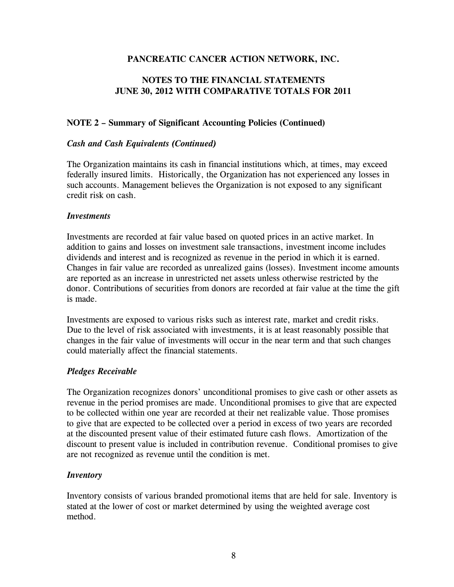### **NOTES TO THE FINANCIAL STATEMENTS JUNE 30, 2012 WITH COMPARATIVE TOTALS FOR 2011**

### **NOTE 2 – Summary of Significant Accounting Policies (Continued)**

### *Cash and Cash Equivalents (Continued)*

The Organization maintains its cash in financial institutions which, at times, may exceed federally insured limits. Historically, the Organization has not experienced any losses in such accounts. Management believes the Organization is not exposed to any significant credit risk on cash.

#### *Investments*

Investments are recorded at fair value based on quoted prices in an active market. In addition to gains and losses on investment sale transactions, investment income includes dividends and interest and is recognized as revenue in the period in which it is earned. Changes in fair value are recorded as unrealized gains (losses). Investment income amounts are reported as an increase in unrestricted net assets unless otherwise restricted by the donor. Contributions of securities from donors are recorded at fair value at the time the gift is made.

Investments are exposed to various risks such as interest rate, market and credit risks. Due to the level of risk associated with investments, it is at least reasonably possible that changes in the fair value of investments will occur in the near term and that such changes could materially affect the financial statements.

### *Pledges Receivable*

The Organization recognizes donors' unconditional promises to give cash or other assets as revenue in the period promises are made. Unconditional promises to give that are expected to be collected within one year are recorded at their net realizable value. Those promises to give that are expected to be collected over a period in excess of two years are recorded at the discounted present value of their estimated future cash flows. Amortization of the discount to present value is included in contribution revenue. Conditional promises to give are not recognized as revenue until the condition is met.

### *Inventory*

Inventory consists of various branded promotional items that are held for sale. Inventory is stated at the lower of cost or market determined by using the weighted average cost method.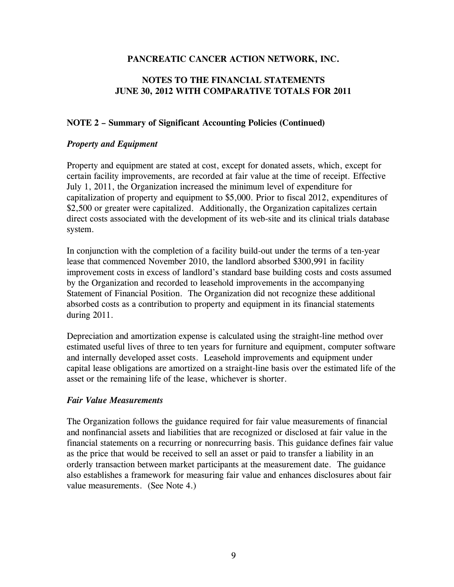### **NOTES TO THE FINANCIAL STATEMENTS JUNE 30, 2012 WITH COMPARATIVE TOTALS FOR 2011**

### **NOTE 2 – Summary of Significant Accounting Policies (Continued)**

#### *Property and Equipment*

Property and equipment are stated at cost, except for donated assets, which, except for certain facility improvements, are recorded at fair value at the time of receipt. Effective July 1, 2011, the Organization increased the minimum level of expenditure for capitalization of property and equipment to \$5,000. Prior to fiscal 2012, expenditures of \$2,500 or greater were capitalized. Additionally, the Organization capitalizes certain direct costs associated with the development of its web-site and its clinical trials database system.

In conjunction with the completion of a facility build-out under the terms of a ten-year lease that commenced November 2010, the landlord absorbed \$300,991 in facility improvement costs in excess of landlord's standard base building costs and costs assumed by the Organization and recorded to leasehold improvements in the accompanying Statement of Financial Position. The Organization did not recognize these additional absorbed costs as a contribution to property and equipment in its financial statements during 2011.

Depreciation and amortization expense is calculated using the straight-line method over estimated useful lives of three to ten years for furniture and equipment, computer software and internally developed asset costs. Leasehold improvements and equipment under capital lease obligations are amortized on a straight-line basis over the estimated life of the asset or the remaining life of the lease, whichever is shorter.

#### *Fair Value Measurements*

The Organization follows the guidance required for fair value measurements of financial and nonfinancial assets and liabilities that are recognized or disclosed at fair value in the financial statements on a recurring or nonrecurring basis. This guidance defines fair value as the price that would be received to sell an asset or paid to transfer a liability in an orderly transaction between market participants at the measurement date. The guidance also establishes a framework for measuring fair value and enhances disclosures about fair value measurements. (See Note 4.)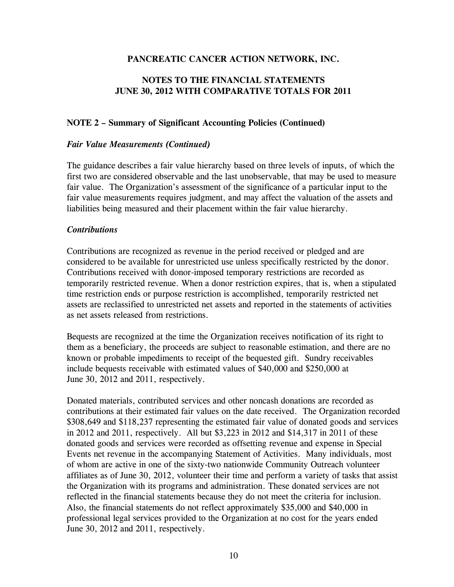### **NOTES TO THE FINANCIAL STATEMENTS JUNE 30, 2012 WITH COMPARATIVE TOTALS FOR 2011**

#### **NOTE 2 – Summary of Significant Accounting Policies (Continued)**

#### *Fair Value Measurements (Continued)*

The guidance describes a fair value hierarchy based on three levels of inputs, of which the first two are considered observable and the last unobservable, that may be used to measure fair value. The Organization's assessment of the significance of a particular input to the fair value measurements requires judgment, and may affect the valuation of the assets and liabilities being measured and their placement within the fair value hierarchy.

#### *Contributions*

Contributions are recognized as revenue in the period received or pledged and are considered to be available for unrestricted use unless specifically restricted by the donor. Contributions received with donor-imposed temporary restrictions are recorded as temporarily restricted revenue. When a donor restriction expires, that is, when a stipulated time restriction ends or purpose restriction is accomplished, temporarily restricted net assets are reclassified to unrestricted net assets and reported in the statements of activities as net assets released from restrictions.

Bequests are recognized at the time the Organization receives notification of its right to them as a beneficiary, the proceeds are subject to reasonable estimation, and there are no known or probable impediments to receipt of the bequested gift. Sundry receivables include bequests receivable with estimated values of \$40,000 and \$250,000 at June 30, 2012 and 2011, respectively.

Donated materials, contributed services and other noncash donations are recorded as contributions at their estimated fair values on the date received. The Organization recorded \$308,649 and \$118,237 representing the estimated fair value of donated goods and services in 2012 and 2011, respectively. All but \$3,223 in 2012 and \$14,317 in 2011 of these donated goods and services were recorded as offsetting revenue and expense in Special Events net revenue in the accompanying Statement of Activities. Many individuals, most of whom are active in one of the sixty-two nationwide Community Outreach volunteer affiliates as of June 30, 2012, volunteer their time and perform a variety of tasks that assist the Organization with its programs and administration. These donated services are not reflected in the financial statements because they do not meet the criteria for inclusion. Also, the financial statements do not reflect approximately \$35,000 and \$40,000 in professional legal services provided to the Organization at no cost for the years ended June 30, 2012 and 2011, respectively.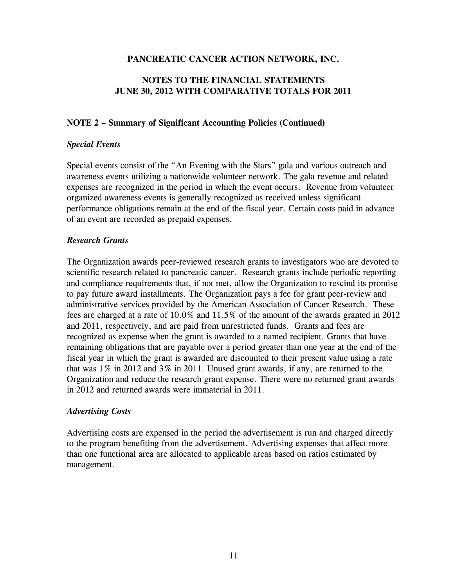### **NOTES TO THE FINANCIAL STATEMENTS JUNE 30, 2012 WITH COMPARATIVE TOTALS FOR 2011**

### **NOTE 2 – Summary of Significant Accounting Policies (Continued)**

#### *Special Events*

Special events consist of the "An Evening with the Stars" gala and various outreach and awareness events utilizing a nationwide volunteer network. The gala revenue and related expenses are recognized in the period in which the event occurs. Revenue from volunteer organized awareness events is generally recognized as received unless significant performance obligations remain at the end of the fiscal year. Certain costs paid in advance of an event are recorded as prepaid expenses.

### *Research Grants*

The Organization awards peer-reviewed research grants to investigators who are devoted to scientific research related to pancreatic cancer. Research grants include periodic reporting and compliance requirements that, if not met, allow the Organization to rescind its promise to pay future award installments. The Organization pays a fee for grant peer-review and administrative services provided by the American Association of Cancer Research. These fees are charged at a rate of 10.0% and 11.5% of the amount of the awards granted in 2012 and 2011, respectively, and are paid from unrestricted funds. Grants and fees are recognized as expense when the grant is awarded to a named recipient. Grants that have remaining obligations that are payable over a period greater than one year at the end of the fiscal year in which the grant is awarded are discounted to their present value using a rate that was 1% in 2012 and 3% in 2011. Unused grant awards, if any, are returned to the Organization and reduce the research grant expense. There were no returned grant awards in 2012 and returned awards were immaterial in 2011.

#### *Advertising Costs*

Advertising costs are expensed in the period the advertisement is run and charged directly to the program benefiting from the advertisement. Advertising expenses that affect more than one functional area are allocated to applicable areas based on ratios estimated by management.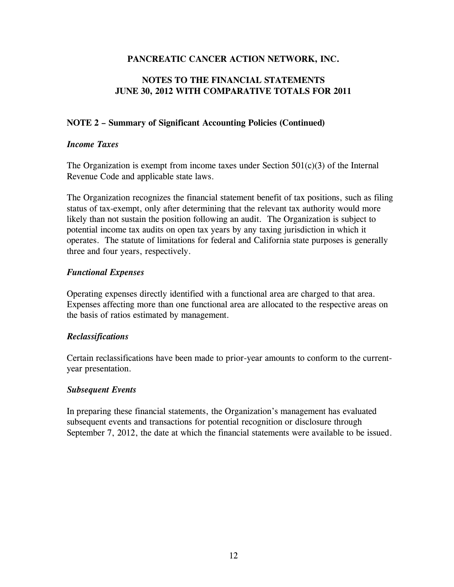### **NOTES TO THE FINANCIAL STATEMENTS JUNE 30, 2012 WITH COMPARATIVE TOTALS FOR 2011**

### **NOTE 2 – Summary of Significant Accounting Policies (Continued)**

### *Income Taxes*

The Organization is exempt from income taxes under Section  $501(c)(3)$  of the Internal Revenue Code and applicable state laws.

The Organization recognizes the financial statement benefit of tax positions, such as filing status of tax-exempt, only after determining that the relevant tax authority would more likely than not sustain the position following an audit. The Organization is subject to potential income tax audits on open tax years by any taxing jurisdiction in which it operates. The statute of limitations for federal and California state purposes is generally three and four years, respectively.

### *Functional Expenses*

Operating expenses directly identified with a functional area are charged to that area. Expenses affecting more than one functional area are allocated to the respective areas on the basis of ratios estimated by management.

### *Reclassifications*

Certain reclassifications have been made to prior-year amounts to conform to the currentyear presentation.

#### *Subsequent Events*

In preparing these financial statements, the Organization's management has evaluated subsequent events and transactions for potential recognition or disclosure through September 7, 2012, the date at which the financial statements were available to be issued.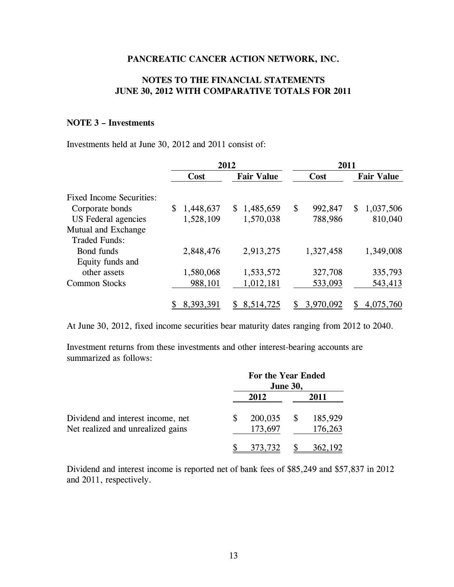### **NOTES TO THE FINANCIAL STATEMENTS JUNE 30, 2012 WITH COMPARATIVE TOTALS FOR 2011**

### **NOTE 3 – Investments**

Investments held at June 30, 2012 and 2011 consist of:

|                                 | 2012            |                   |    | 2011      |    |                   |  |
|---------------------------------|-----------------|-------------------|----|-----------|----|-------------------|--|
|                                 | Cost            | <b>Fair Value</b> |    | Cost      |    | <b>Fair Value</b> |  |
| <b>Fixed Income Securities:</b> |                 |                   |    |           |    |                   |  |
| Corporate bonds                 | \$<br>1,448,637 | \$1,485,659       | \$ | 992,847   | \$ | 1,037,506         |  |
| US Federal agencies             | 1,528,109       | 1,570,038         |    | 788,986   |    | 810,040           |  |
| Mutual and Exchange             |                 |                   |    |           |    |                   |  |
| <b>Traded Funds:</b>            |                 |                   |    |           |    |                   |  |
| Bond funds                      | 2,848,476       | 2,913,275         |    | 1,327,458 |    | 1,349,008         |  |
| Equity funds and                |                 |                   |    |           |    |                   |  |
| other assets                    | 1,580,068       | 1,533,572         |    | 327,708   |    | 335,793           |  |
| <b>Common Stocks</b>            | 988,101         | 1,012,181         |    | 533,093   |    | 543,413           |  |
|                                 | 8,393,391       | 8,514,725         |    | 3,970,092 |    | 4,075,760         |  |

At June 30, 2012, fixed income securities bear maturity dates ranging from 2012 to 2040.

Investment returns from these investments and other interest-bearing accounts are summarized as follows:

|                                   | For the Year Ended | <b>June 30,</b> |         |
|-----------------------------------|--------------------|-----------------|---------|
|                                   | 2012               | 2011            |         |
| Dividend and interest income, net | 200,035            | <sup>\$</sup>   | 185,929 |
| Net realized and unrealized gains | 173,697            |                 | 176,263 |
|                                   | 373,732            |                 | 362,192 |

Dividend and interest income is reported net of bank fees of \$85,249 and \$57,837 in 2012 and 2011, respectively.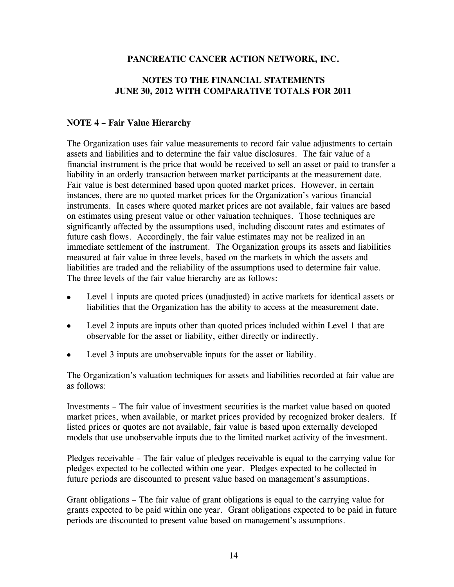### **NOTES TO THE FINANCIAL STATEMENTS JUNE 30, 2012 WITH COMPARATIVE TOTALS FOR 2011**

### **NOTE 4 – Fair Value Hierarchy**

The Organization uses fair value measurements to record fair value adjustments to certain assets and liabilities and to determine the fair value disclosures. The fair value of a financial instrument is the price that would be received to sell an asset or paid to transfer a liability in an orderly transaction between market participants at the measurement date. Fair value is best determined based upon quoted market prices. However, in certain instances, there are no quoted market prices for the Organization's various financial instruments. In cases where quoted market prices are not available, fair values are based on estimates using present value or other valuation techniques. Those techniques are significantly affected by the assumptions used, including discount rates and estimates of future cash flows. Accordingly, the fair value estimates may not be realized in an immediate settlement of the instrument. The Organization groups its assets and liabilities measured at fair value in three levels, based on the markets in which the assets and liabilities are traded and the reliability of the assumptions used to determine fair value. The three levels of the fair value hierarchy are as follows:

- $\bullet$ Level 1 inputs are quoted prices (unadjusted) in active markets for identical assets or liabilities that the Organization has the ability to access at the measurement date.
- $\bullet$ Level 2 inputs are inputs other than quoted prices included within Level 1 that are observable for the asset or liability, either directly or indirectly.
- Level 3 inputs are unobservable inputs for the asset or liability.

The Organization's valuation techniques for assets and liabilities recorded at fair value are as follows:

Investments – The fair value of investment securities is the market value based on quoted market prices, when available, or market prices provided by recognized broker dealers. If listed prices or quotes are not available, fair value is based upon externally developed models that use unobservable inputs due to the limited market activity of the investment.

Pledges receivable – The fair value of pledges receivable is equal to the carrying value for pledges expected to be collected within one year. Pledges expected to be collected in future periods are discounted to present value based on management's assumptions.

Grant obligations – The fair value of grant obligations is equal to the carrying value for grants expected to be paid within one year. Grant obligations expected to be paid in future periods are discounted to present value based on management's assumptions.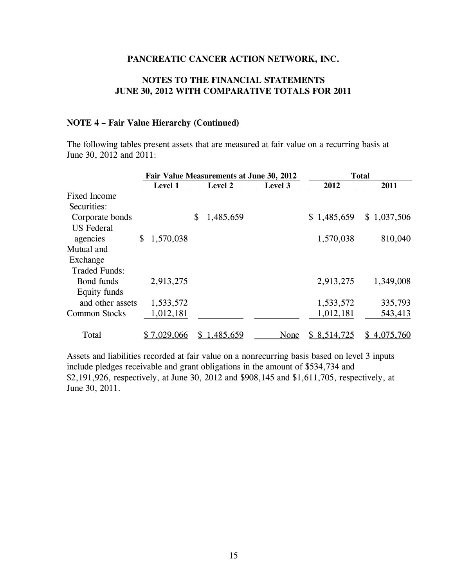### **NOTES TO THE FINANCIAL STATEMENTS JUNE 30, 2012 WITH COMPARATIVE TOTALS FOR 2011**

#### **NOTE 4 – Fair Value Hierarchy (Continued)**

The following tables present assets that are measured at fair value on a recurring basis at June 30, 2012 and 2011:

|                      |                 | Fair Value Measurements at June 30, 2012 | <b>Total</b> |              |             |
|----------------------|-----------------|------------------------------------------|--------------|--------------|-------------|
|                      | Level 1         | Level 2                                  | Level 3      | 2012         | 2011        |
| <b>Fixed Income</b>  |                 |                                          |              |              |             |
| Securities:          |                 |                                          |              |              |             |
| Corporate bonds      |                 | \$<br>1,485,659                          |              | \$1,485,659  | \$1,037,506 |
| <b>US</b> Federal    |                 |                                          |              |              |             |
| agencies             | \$<br>1,570,038 |                                          |              | 1,570,038    | 810,040     |
| Mutual and           |                 |                                          |              |              |             |
| Exchange             |                 |                                          |              |              |             |
| <b>Traded Funds:</b> |                 |                                          |              |              |             |
| Bond funds           | 2,913,275       |                                          |              | 2,913,275    | 1,349,008   |
| Equity funds         |                 |                                          |              |              |             |
| and other assets     | 1,533,572       |                                          |              | 1,533,572    | 335,793     |
| <b>Common Stocks</b> | 1,012,181       |                                          |              | 1,012,181    | 543,413     |
| Total                | 7,029,066       | 1,485,659                                | None         | \$ 8,514,725 | 4,075,760   |

Assets and liabilities recorded at fair value on a nonrecurring basis based on level 3 inputs include pledges receivable and grant obligations in the amount of \$534,734 and \$2,191,926, respectively, at June 30, 2012 and \$908,145 and \$1,611,705, respectively, at June 30, 2011.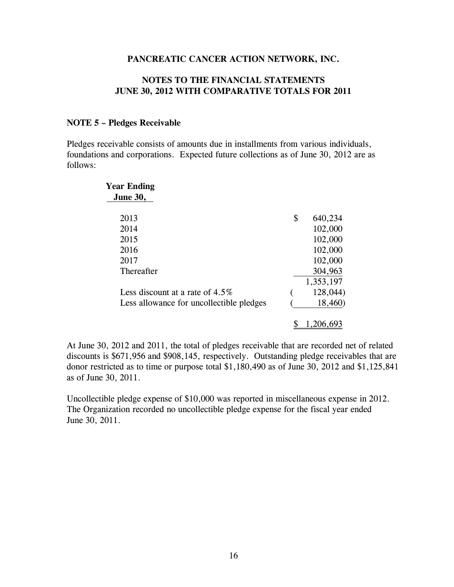#### **NOTES TO THE FINANCIAL STATEMENTS JUNE 30, 2012 WITH COMPARATIVE TOTALS FOR 2011**

#### **NOTE 5 – Pledges Receivable**

Pledges receivable consists of amounts due in installments from various individuals, foundations and corporations. Expected future collections as of June 30, 2012 are as follows:

| <b>Year Ending</b>                       |               |
|------------------------------------------|---------------|
| <b>June 30,</b>                          |               |
| 2013                                     | \$<br>640,234 |
| 2014                                     | 102,000       |
| 2015                                     | 102,000       |
| 2016                                     | 102,000       |
| 2017                                     | 102,000       |
| Thereafter                               | 304,963       |
|                                          | 1,353,197     |
| Less discount at a rate of $4.5\%$       | 128,044)      |
| Less allowance for uncollectible pledges | 18,460)       |
|                                          | 206.693       |

At June 30, 2012 and 2011, the total of pledges receivable that are recorded net of related discounts is \$671,956 and \$908,145, respectively. Outstanding pledge receivables that are donor restricted as to time or purpose total \$1,180,490 as of June 30, 2012 and \$1,125,841 as of June 30, 2011.

Uncollectible pledge expense of \$10,000 was reported in miscellaneous expense in 2012. The Organization recorded no uncollectible pledge expense for the fiscal year ended June 30, 2011.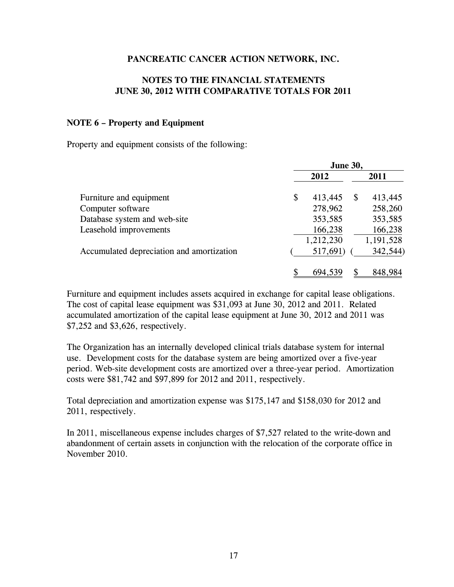#### **NOTES TO THE FINANCIAL STATEMENTS JUNE 30, 2012 WITH COMPARATIVE TOTALS FOR 2011**

#### **NOTE 6 – Property and Equipment**

Property and equipment consists of the following:

|                                           | <b>June 30,</b> |           |          |           |
|-------------------------------------------|-----------------|-----------|----------|-----------|
|                                           |                 | 2012      |          | 2011      |
| Furniture and equipment                   | \$              | 413,445   | <b>S</b> | 413,445   |
| Computer software                         |                 | 278,962   |          | 258,260   |
| Database system and web-site              |                 | 353,585   |          | 353,585   |
| Leasehold improvements                    |                 | 166,238   |          | 166,238   |
|                                           |                 | 1,212,230 |          | 1,191,528 |
| Accumulated depreciation and amortization |                 | 517,691)  |          | 342,544)  |
|                                           |                 | 694,539   |          | 848,984   |

Furniture and equipment includes assets acquired in exchange for capital lease obligations. The cost of capital lease equipment was \$31,093 at June 30, 2012 and 2011. Related accumulated amortization of the capital lease equipment at June 30, 2012 and 2011 was \$7,252 and \$3,626, respectively.

The Organization has an internally developed clinical trials database system for internal use. Development costs for the database system are being amortized over a five-year period. Web-site development costs are amortized over a three-year period. Amortization costs were \$81,742 and \$97,899 for 2012 and 2011, respectively.

Total depreciation and amortization expense was \$175,147 and \$158,030 for 2012 and 2011, respectively.

In 2011, miscellaneous expense includes charges of \$7,527 related to the write-down and abandonment of certain assets in conjunction with the relocation of the corporate office in November 2010.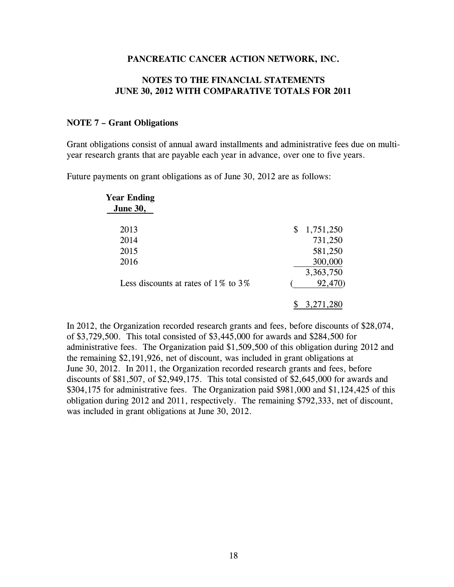#### **NOTES TO THE FINANCIAL STATEMENTS JUNE 30, 2012 WITH COMPARATIVE TOTALS FOR 2011**

#### **NOTE 7 – Grant Obligations**

Grant obligations consist of annual award installments and administrative fees due on multiyear research grants that are payable each year in advance, over one to five years.

Future payments on grant obligations as of June 30, 2012 are as follows:

| <b>Year Ending</b>                        |                 |
|-------------------------------------------|-----------------|
| <b>June 30,</b>                           |                 |
| 2013                                      | \$<br>1,751,250 |
| 2014                                      | 731,250         |
| 2015                                      | 581,250         |
| 2016                                      | 300,000         |
|                                           | 3,363,750       |
| Less discounts at rates of $1\%$ to $3\%$ | 92,470)         |
|                                           | 3,271,280       |

In 2012, the Organization recorded research grants and fees, before discounts of \$28,074, of \$3,729,500. This total consisted of \$3,445,000 for awards and \$284,500 for administrative fees. The Organization paid \$1,509,500 of this obligation during 2012 and the remaining \$2,191,926, net of discount, was included in grant obligations at June 30, 2012. In 2011, the Organization recorded research grants and fees, before discounts of \$81,507, of \$2,949,175. This total consisted of \$2,645,000 for awards and \$304,175 for administrative fees. The Organization paid \$981,000 and \$1,124,425 of this obligation during 2012 and 2011, respectively. The remaining \$792,333, net of discount, was included in grant obligations at June 30, 2012.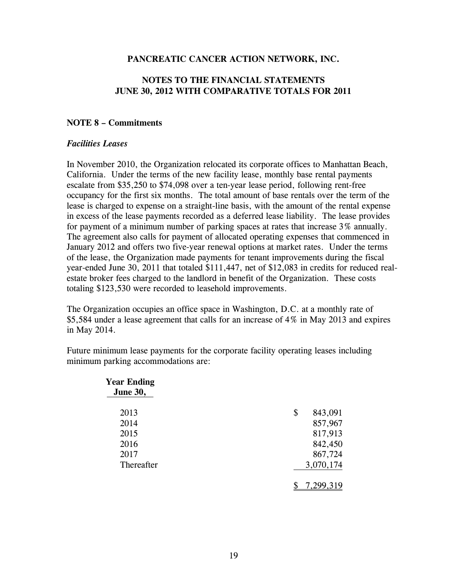### **NOTES TO THE FINANCIAL STATEMENTS JUNE 30, 2012 WITH COMPARATIVE TOTALS FOR 2011**

#### **NOTE 8 – Commitments**

#### *Facilities Leases*

In November 2010, the Organization relocated its corporate offices to Manhattan Beach, California. Under the terms of the new facility lease, monthly base rental payments escalate from \$35,250 to \$74,098 over a ten-year lease period, following rent-free occupancy for the first six months. The total amount of base rentals over the term of the lease is charged to expense on a straight-line basis, with the amount of the rental expense in excess of the lease payments recorded as a deferred lease liability. The lease provides for payment of a minimum number of parking spaces at rates that increase 3% annually. The agreement also calls for payment of allocated operating expenses that commenced in January 2012 and offers two five-year renewal options at market rates. Under the terms of the lease, the Organization made payments for tenant improvements during the fiscal year-ended June 30, 2011 that totaled \$111,447, net of \$12,083 in credits for reduced realestate broker fees charged to the landlord in benefit of the Organization. These costs totaling \$123,530 were recorded to leasehold improvements.

The Organization occupies an office space in Washington, D.C. at a monthly rate of \$5,584 under a lease agreement that calls for an increase of 4% in May 2013 and expires in May 2014.

Future minimum lease payments for the corporate facility operating leases including minimum parking accommodations are:

| <b>Year Ending</b><br><b>June 30,</b> |               |
|---------------------------------------|---------------|
| 2013                                  | \$<br>843,091 |
| 2014                                  | 857,967       |
| 2015                                  | 817,913       |
| 2016                                  | 842,450       |
| 2017                                  | 867,724       |
| Thereafter                            | 3,070,174     |
|                                       | 7,299,319     |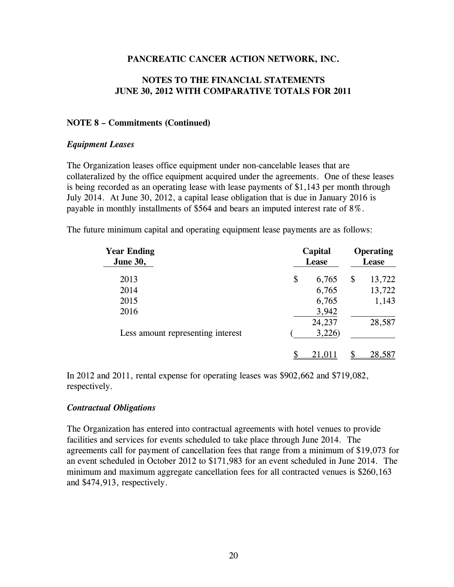### **NOTES TO THE FINANCIAL STATEMENTS JUNE 30, 2012 WITH COMPARATIVE TOTALS FOR 2011**

#### **NOTE 8 – Commitments (Continued)**

#### *Equipment Leases*

The Organization leases office equipment under non-cancelable leases that are collateralized by the office equipment acquired under the agreements. One of these leases is being recorded as an operating lease with lease payments of \$1,143 per month through July 2014. At June 30, 2012, a capital lease obligation that is due in January 2016 is payable in monthly installments of \$564 and bears an imputed interest rate of 8%.

The future minimum capital and operating equipment lease payments are as follows:

| <b>Year Ending</b><br><b>June 30,</b> | Capital<br><b>Lease</b> |    | <b>Operating</b><br><b>Lease</b> |  |
|---------------------------------------|-------------------------|----|----------------------------------|--|
| 2013                                  | \$<br>6,765             | \$ | 13,722                           |  |
| 2014                                  | 6,765                   |    | 13,722                           |  |
| 2015                                  | 6,765                   |    | 1,143                            |  |
| 2016                                  | 3,942                   |    |                                  |  |
|                                       | 24,237                  |    | 28,587                           |  |
| Less amount representing interest     | 3,226                   |    |                                  |  |
|                                       |                         |    | 28,587                           |  |

In 2012 and 2011, rental expense for operating leases was \$902,662 and \$719,082, respectively.

#### *Contractual Obligations*

The Organization has entered into contractual agreements with hotel venues to provide facilities and services for events scheduled to take place through June 2014. The agreements call for payment of cancellation fees that range from a minimum of \$19,073 for an event scheduled in October 2012 to \$171,983 for an event scheduled in June 2014. The minimum and maximum aggregate cancellation fees for all contracted venues is \$260,163 and \$474,913, respectively.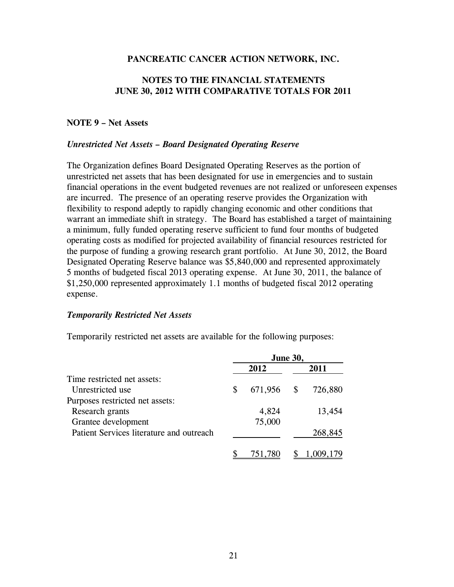### **NOTES TO THE FINANCIAL STATEMENTS JUNE 30, 2012 WITH COMPARATIVE TOTALS FOR 2011**

#### **NOTE 9 – Net Assets**

#### *Unrestricted Net Assets – Board Designated Operating Reserve*

The Organization defines Board Designated Operating Reserves as the portion of unrestricted net assets that has been designated for use in emergencies and to sustain financial operations in the event budgeted revenues are not realized or unforeseen expenses are incurred. The presence of an operating reserve provides the Organization with flexibility to respond adeptly to rapidly changing economic and other conditions that warrant an immediate shift in strategy. The Board has established a target of maintaining a minimum, fully funded operating reserve sufficient to fund four months of budgeted operating costs as modified for projected availability of financial resources restricted for the purpose of funding a growing research grant portfolio. At June 30, 2012, the Board Designated Operating Reserve balance was \$5,840,000 and represented approximately 5 months of budgeted fiscal 2013 operating expense. At June 30, 2011, the balance of \$1,250,000 represented approximately 1.1 months of budgeted fiscal 2012 operating expense.

#### *Temporarily Restricted Net Assets*

Temporarily restricted net assets are available for the following purposes:

|                                          | <b>June 30,</b> |         |   |           |  |
|------------------------------------------|-----------------|---------|---|-----------|--|
|                                          |                 | 2012    |   | 2011      |  |
| Time restricted net assets:              |                 |         |   |           |  |
| Unrestricted use                         | S               | 671,956 | S | 726,880   |  |
| Purposes restricted net assets:          |                 |         |   |           |  |
| Research grants                          |                 | 4,824   |   | 13,454    |  |
| Grantee development                      |                 | 75,000  |   |           |  |
| Patient Services literature and outreach |                 |         |   | 268,845   |  |
|                                          |                 | 751,780 |   | 1,009,179 |  |